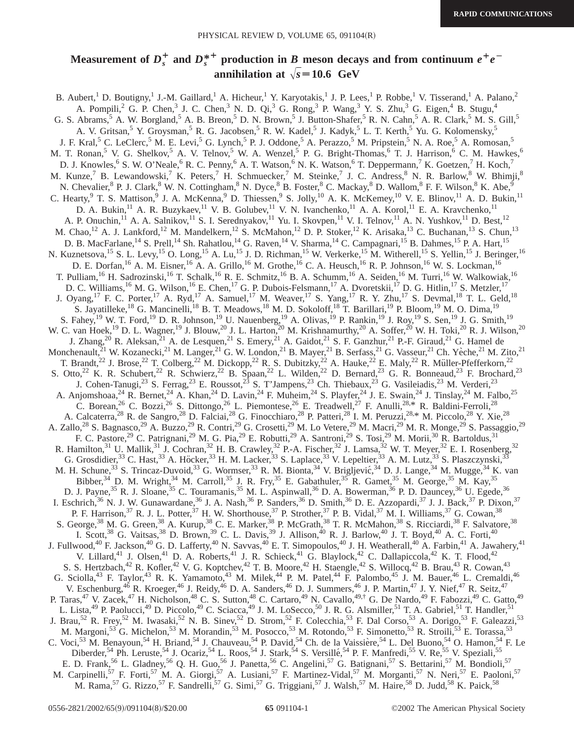# Measurement of  $D_s^+$  and  $D_s^{*+}$  production in  $B$  meson decays and from continuum  $e^+e^$ **annihilation at**  $\sqrt{s} = 10.6$  GeV

B. Aubert,<sup>1</sup> D. Boutigny,<sup>1</sup> J.-M. Gaillard,<sup>1</sup> A. Hicheur,<sup>1</sup> Y. Karyotakis,<sup>1</sup> J. P. Lees,<sup>1</sup> P. Robbe,<sup>1</sup> V. Tisserand,<sup>1</sup> A. Palano,<sup>2</sup> A. Pompili,<sup>2</sup> G. P. Chen,<sup>3</sup> J. C. Chen,<sup>3</sup> N. D. Qi,<sup>3</sup> G. Rong,<sup>3</sup> P. Wang,<sup>3</sup> Y. S. Zhu,<sup>3</sup> G. Eigen,<sup>4</sup> B. Stugu,<sup>4</sup> G. S. Abrams,<sup>5</sup> A. W. Borgland,<sup>5</sup> A. B. Breon,<sup>5</sup> D. N. Brown,<sup>5</sup> J. Button-Shafer,<sup>5</sup> R. N. Cahn,<sup>5</sup> A. R. Clark,<sup>5</sup> M. S. Gill,<sup>5</sup> A. V. Gritsan,<sup>5</sup> Y. Groysman,<sup>5</sup> R. G. Jacobsen,<sup>5</sup> R. W. Kadel,<sup>5</sup> J. Kadyk,<sup>5</sup> L. T. Kerth,<sup>5</sup> Yu. G. Kolomensky,<sup>5</sup> J. F. Kral,<sup>5</sup> C. LeClerc,<sup>5</sup> M. E. Levi,<sup>5</sup> G. Lynch,<sup>5</sup> P. J. Oddone,<sup>5</sup> A. Perazzo,<sup>5</sup> M. Pripstein,<sup>5</sup> N. A. Roe,<sup>5</sup> A. Romosan,<sup>5</sup> M. T. Ronan,<sup>5</sup> V. G. Shelkov,<sup>5</sup> A. V. Telnov,<sup>5</sup> W. A. Wenzel,<sup>5</sup> P. G. Bright-Thomas,<sup>6</sup> T. J. Harrison,<sup>6</sup> C. M. Hawkes,<sup>6</sup> D. J. Knowles,<sup>6</sup> S. W. O'Neale,<sup>6</sup> R. C. Penny,<sup>6</sup> A. T. Watson,<sup>6</sup> N. K. Watson,<sup>6</sup> T. Deppermann,<sup>7</sup> K. Goetzen,<sup>7</sup> H. Koch,<sup>7</sup> M. Kunze,<sup>7</sup> B. Lewandowski,<sup>7</sup> K. Peters,<sup>7</sup> H. Schmuecker,<sup>7</sup> M. Steinke,<sup>7</sup> J. C. Andress,<sup>8</sup> N. R. Barlow,<sup>8</sup> W. Bhimji,<sup>8</sup> N. Chevalier, <sup>8</sup> P. J. Clark, <sup>8</sup> W. N. Cottingham, <sup>8</sup> N. Dyce, <sup>8</sup> B. Foster, <sup>8</sup> C. Mackay, <sup>8</sup> D. Wallom, <sup>8</sup> F. F. Wilson, <sup>8</sup> K. Abe, <sup>9</sup> C. Hearty, <sup>9</sup> T. S. Mattison, <sup>9</sup> J. A. McKenna, <sup>9</sup> D. Thiessen, <sup>9</sup> S. Jolly, <sup>10</sup> A. K. McKemey, <sup>10</sup> V. E. Blinov, <sup>11</sup> A. D. Bukin, <sup>11</sup> D. A. Bukin, <sup>11</sup> A. R. Buzykaev, <sup>11</sup> V. B. Golubev, <sup>11</sup> V. N. Ivanchenko, <sup>11</sup> A. A. Korol, <sup>11</sup> E. A. Kravchenko, <sup>11</sup> A. P. Onuchin,<sup>11</sup> A. A. Salnikov,<sup>11</sup> S. I. Serednyakov,<sup>11</sup> Yu. I. Skovpen,<sup>11</sup> V. I. Telnov,<sup>11</sup> A. N. Yushkov,<sup>11</sup> D. Best,<sup>12</sup> M. Chao, <sup>12</sup> A. J. Lankford, <sup>12</sup> M. Mandelkern, <sup>12</sup> S. McMahon, <sup>12</sup> D. P. Stoker, <sup>12</sup> K. Arisaka, <sup>13</sup> C. Buchanan, <sup>13</sup> S. Chun, <sup>13</sup> D. B. MacFarlane,<sup>14</sup> S. Prell,<sup>14</sup> Sh. Rahatlou,<sup>14</sup> G. Raven,<sup>14</sup> V. Sharma,<sup>14</sup> C. Campagnari,<sup>15</sup> B. Dahmes,<sup>15</sup> P. A. Hart,<sup>15</sup> N. Kuznetsova,<sup>15</sup> S. L. Levy,<sup>15</sup> O. Long,<sup>15</sup> A. Lu,<sup>15</sup> J. D. Richman,<sup>15</sup> W. Verkerke,<sup>15</sup> M. Witherell,<sup>15</sup> S. Yellin,<sup>15</sup> J. Beringer,<sup>16</sup> D. E. Dorfan,<sup>16</sup> A. M. Eisner,<sup>16</sup> A. A. Grillo,<sup>16</sup> M. Grothe,<sup>16</sup> C. A. Heusch,<sup>16</sup> R. P. Johnson,<sup>16</sup> W. S. Lockman,<sup>16</sup> T. Pulliam,<sup>16</sup> H. Sadrozinski,<sup>16</sup> T. Schalk,<sup>16</sup> R. E. Schmitz,<sup>16</sup> B. A. Schumm,<sup>16</sup> A. Seiden,<sup>16</sup> M. Turri,<sup>16</sup> W. Walkowiak,<sup>16</sup> D. C. Williams,<sup>16</sup> M. G. Wilson,<sup>16</sup> E. Chen,<sup>17</sup> G. P. Dubois-Felsmann,<sup>17</sup> A. Dvoretskii,<sup>17</sup> D. G. Hitlin,<sup>17</sup> S. Metzler,<sup>17</sup> J. Oyang,<sup>17</sup> F. C. Porter,<sup>17</sup> A. Ryd,<sup>17</sup> A. Samuel,<sup>17</sup> M. Weaver,<sup>17</sup> S. Yang,<sup>17</sup> R. Y. Zhu,<sup>17</sup> S. Devmal,<sup>18</sup> T. L. Geld,<sup>18</sup> S. Jayatilleke,<sup>18</sup> G. Mancinelli,<sup>18</sup> B. T. Meadows,<sup>18</sup> M. D. Sokoloff,<sup>18</sup> T. Barillari,<sup>19</sup> P. Bloom,<sup>19</sup> M. O. Dima,<sup>19</sup> S. Fahey,<sup>19</sup> W. T. Ford,<sup>19</sup> D. R. Johnson,<sup>19</sup> U. Nauenberg,<sup>19</sup> A. Olivas,<sup>19</sup> P. Rankin,<sup>19</sup> J. Roy,<sup>19</sup> S. Sen,<sup>19</sup> J. G. Smith,<sup>19</sup> W. C. van Hoek,<sup>19</sup> D. L. Wagner,<sup>19</sup> J. Blouw,<sup>20</sup> J. L. Harton,<sup>20</sup> M. Krishnamurthy,<sup>20</sup> A. Soffer,<sup>20</sup> W. H. Toki,<sup>20</sup> R. J. Wilson,<sup>20</sup> J. Zhang,<sup>20</sup> R. Aleksan,<sup>21</sup> A. de Lesquen,<sup>21</sup> S. Emery,<sup>21</sup> A. Gaidot,<sup>21</sup> S. F. Ganzhur,<sup>21</sup> P.-F. Giraud,<sup>21</sup> G. Hamel de Monchenault,<sup>21</sup> W. Kozanecki,<sup>21</sup> M. Langer,<sup>21</sup> G. W. London,<sup>21</sup> B. Mayer,<sup>21</sup> B. Serfass,<sup>21</sup> G. Vasseur,<sup>21</sup> Ch. Yèche,<sup>21</sup> M. Zito,<sup>21</sup> T. Brandt,<sup>22</sup> J. Brose,<sup>22</sup> T. Colberg,<sup>22</sup> M. Dickopp,<sup>22</sup> R. S. Dubitzky,<sup>22</sup> A. Hauke,<sup>22</sup> E. Maly,<sup>22</sup> R. Müller-Pfefferkorn,<sup>22</sup> S. Otto,<sup>22</sup> K. R. Schubert,<sup>22</sup> R. Schwierz,<sup>22</sup> B. Spaan,<sup>22</sup> L. Wilden,<sup>22</sup> D. Bernard,<sup>23</sup> G. R. Bonneaud,<sup>23</sup> F. Brochard,<sup>23</sup> J. Cohen-Tanugi,<sup>23</sup> S. Ferrag,<sup>23</sup> E. Roussot,<sup>25</sup> S. T'Jampens,<sup>23</sup> Ch. Thiebaux,<sup>23</sup> G. Vasileiadis,<sup>23</sup> M. Verderi,<sup>23</sup> A. Anjomshoaa,<sup>24</sup> R. Bernet,<sup>24</sup> A. Khan,<sup>24</sup> D. Lavin,<sup>24</sup> F. Muheim,<sup>24</sup> S. Playfer,<sup>24</sup> J. E. Swain,<sup>24</sup> J. Tinslay,<sup>24</sup> M. Falbo,<sup>25</sup> C. Borean,<sup>26</sup> C. Bozzi,<sup>26</sup> S. Dittongo,<sup>26</sup> L. Piemontese,<sup>26</sup> E. Treadwell,<sup>27</sup> F. Anulli,<sup>28,\*</sup> R. Baldini-Ferroli,<sup>28</sup> A. Calcaterra,<sup>28</sup> R. de Sangro,<sup>28</sup> D. Falciai,<sup>28</sup> G. Finocchiaro,<sup>28</sup> P. Patteri,<sup>28</sup> I. M. Peruzzi,<sup>28,\*</sup> M. Piccolo,<sup>28</sup> Y. Xie,<sup>28</sup> A. Zallo,<sup>28</sup> S. Bagnasco,<sup>29</sup> A. Buzzo,<sup>29</sup> R. Contri,<sup>29</sup> G. Crosetti,<sup>29</sup> M. Lo Vetere,<sup>29</sup> M. Macri,<sup>29</sup> M. R. Monge,<sup>29</sup> S. Passaggio,<sup>29</sup> F. C. Pastore,<sup>29</sup> C. Patrignani,<sup>29</sup> M. G. Pia,<sup>29</sup> E. Robutti,<sup>29</sup> A. Santroni,<sup>29</sup> S. Tosi,<sup>29</sup> M. Morii,<sup>30</sup> R. Bartoldus,<sup>31</sup> R. Hamilton,<sup>31</sup> U. Mallik,<sup>31</sup> J. Cochran,<sup>32</sup> H. B. Crawley,<sup>32</sup> P.-A. Fischer,<sup>32</sup> J. Lamsa,<sup>32</sup> W. T. Meyer,<sup>32</sup> E. I. Rosenberg,<sup>32</sup> G. Grosdidier,<sup>33</sup> C. Hast,<sup>33</sup> A. Höcker,<sup>33</sup> H. M. Lacker,<sup>33</sup> S. Laplace,<sup>33</sup> V. Lepeltier,<sup>33</sup> A. M. Lutz,<sup>33</sup> S. Plaszczynski,<sup>33</sup> M. H. Schune,<sup>33</sup> S. Trincaz-Duvoid,<sup>33</sup> G. Wormser,<sup>33</sup> R. M. Bionta,<sup>34</sup> V. Brigljević,<sup>34</sup> D. J. Lange,<sup>34</sup> M. Mugge,<sup>34</sup> K. van Bibber,<sup>34</sup> D. M. Wright,<sup>34</sup> M. Carroll,<sup>35</sup> J. R. Fry,<sup>35</sup> E. Gabathuler,<sup>35</sup> R. Gamet,<sup>35</sup> M. George,<sup>35</sup> M. Kay,<sup>35</sup> D. J. Payne,<sup>35</sup> R. J. Sloane,<sup>35</sup> C. Touramanis,<sup>35</sup> M. L. Aspinwall,<sup>36</sup> D. A. Bowerman,<sup>36</sup> P. D. Dauncey,<sup>36</sup> U. Egede,<sup>36</sup> I. Eschrich,<sup>36</sup> N. J. W. Gunawardane,<sup>36</sup> J. A. Nash,<sup>36</sup> P. Sanders,<sup>36</sup> D. Smith,<sup>36</sup> D. E. Azzopardi,<sup>37</sup> J. J. Back,<sup>37</sup> P. Dixon,<sup>37</sup> P. F. Harrison,<sup>37</sup> R. J. L. Potter,<sup>37</sup> H. W. Shorthouse,<sup>37</sup> P. Strother,<sup>37</sup> P. B. Vidal,<sup>37</sup> M. I. Williams,<sup>37</sup> G. Cowan,<sup>38</sup> S. George,<sup>38</sup> M. G. Green,<sup>38</sup> A. Kurup,<sup>38</sup> C. E. Marker,<sup>38</sup> P. McGrath,<sup>38</sup> T. R. McMahon,<sup>38</sup> S. Ricciardi,<sup>38</sup> F. Salvatore,<sup>38</sup> I. Scott,<sup>38</sup> G. Vaitsas,<sup>38</sup> D. Brown,<sup>39</sup> C. L. Davis,<sup>39</sup> J. Allison,<sup>40</sup> R. J. Barlow,<sup>40</sup> J. T. Boyd,<sup>40</sup> A. C. Forti,<sup>40</sup> J. Fullwood,<sup>40</sup> F. Jackson,<sup>40</sup> G. D. Lafferty,<sup>40</sup> N. Savvas,<sup>40</sup> E. T. Simopoulos,<sup>40</sup> J. H. Weatherall,<sup>40</sup> A. Farbin,<sup>41</sup> A. Jawahery,<sup>41</sup> V. Lillard,<sup>41</sup> J. Olsen,<sup>41</sup> D. A. Roberts,<sup>41</sup> J. R. Schieck,<sup>41</sup> G. Blaylock,<sup>42</sup> C. Dallapiccola,<sup>42</sup> K. T. Flood,<sup>42</sup> S. S. Hertzbach,<sup>42</sup> R. Kofler,<sup>42</sup> V. G. Koptchev,<sup>42</sup> T. B. Moore,<sup>42</sup> H. Staengle,<sup>42</sup> S. Willocq,<sup>42</sup> B. Brau,<sup>43</sup> R. Cowan,<sup>43</sup> G. Sciolla,<sup>43</sup> F. Taylor,<sup>43</sup> R. K. Yamamoto,<sup>43</sup> M. Milek,<sup>44</sup> P. M. Patel,<sup>44</sup> F. Palombo,<sup>45</sup> J. M. Bauer,<sup>46</sup> L. Cremaldi,<sup>46</sup> V. Eschenburg,<sup>46</sup> R. Kroeger,<sup>46</sup> J. Reidy,<sup>46</sup> D. A. Sanders,<sup>46</sup> D. J. Summers,<sup>46</sup> J. P. Martin,<sup>47</sup> J. Y. Nief,<sup>47</sup> R. Seitz,<sup>47</sup> P. Taras,<sup>47</sup> V. Zacek,<sup>47</sup> H. Nicholson,<sup>48</sup> C. S. Sutton,<sup>48</sup> C. Cartaro,<sup>49</sup> N. Cavallo,<sup>49,†</sup> G. De Nardo,<sup>49</sup> F. Fabozzi,<sup>49</sup> C. Gatto,<sup>49</sup> L. Lista,<sup>49</sup> P. Paolucci,<sup>49</sup> D. Piccolo,<sup>49</sup> C. Sciacca,<sup>49</sup> J. M. LoSecco,<sup>50</sup> J. R. G. Alsmiller,<sup>51</sup> T. A. Gabriel,<sup>51</sup> T. Handler,<sup>51</sup> J. Brau,<sup>52</sup> R. Frey,<sup>52</sup> M. Iwasaki,<sup>52</sup> N. B. Sinev,<sup>52</sup> D. Strom,<sup>52</sup> F. Colecchia,<sup>53</sup> F. Dal Corso,<sup>53</sup> A. Dorigo,<sup>53</sup> F. Galeazzi,<sup>53</sup> M. Margoni,<sup>53</sup> G. Michelon,<sup>53</sup> M. Morandin,<sup>53</sup> M. Posocco,<sup>53</sup> M. Rotondo,<sup>53</sup> F. Simonetto,<sup>53</sup> R. Stroili,<sup>53</sup> E. Torassa,<sup>53</sup> C. Voci,<sup>53</sup> M. Benayoun,<sup>54</sup> H. Briand,<sup>54</sup> J. Chauveau,<sup>54</sup> P. David,<sup>54</sup> Ch. de la Vaissière,<sup>54</sup> L. Del Buono,<sup>54</sup> O. Hamon,<sup>54</sup> F. Le Diberder,<sup>54</sup> Ph. Leruste,<sup>54</sup> J. Ocariz,<sup>54</sup> L. Roos,<sup>54</sup> J. Stark,<sup>54</sup> S. Versillé,<sup>54</sup> P. F. Manfredi,<sup>55</sup> V. Re,<sup>55</sup> V. Speziali,<sup>55</sup> E. D. Frank,<sup>56</sup> L. Gladney,<sup>56</sup> Q. H. Guo,<sup>56</sup> J. Panetta,<sup>56</sup> C. Angelini,<sup>57</sup> G. Batignani,<sup>57</sup> S. Bettarini,<sup>57</sup> M. Bondioli,<sup>57</sup> M. Carpinelli,<sup>57</sup> F. Forti,<sup>57</sup> M. A. Giorgi,<sup>57</sup> A. Lusiani,<sup>57</sup> F. Martinez-Vidal,<sup>57</sup> M. Morganti,<sup>57</sup> N. Neri,<sup>57</sup> E. Paoloni,<sup>57</sup> M. Rama,<sup>57</sup> G. Rizzo,<sup>57</sup> F. Sandrelli,<sup>57</sup> G. Simi,<sup>57</sup> G. Triggiani,<sup>57</sup> J. Walsh,<sup>57</sup> M. Haire,<sup>58</sup> D. Judd,<sup>58</sup> K. Paick,<sup>58</sup>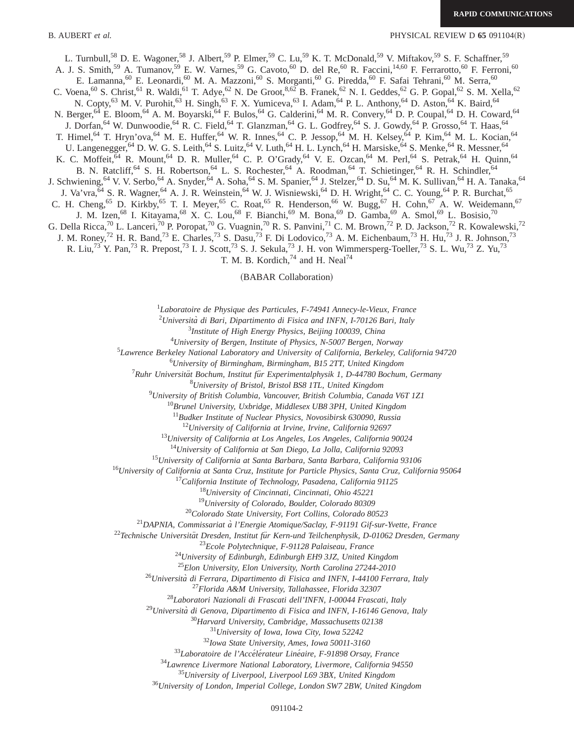B. AUBERT *et al.* PHYSICAL REVIEW D 65 091104(R)

L. Turnbull,<sup>58</sup> D. E. Wagoner,<sup>58</sup> J. Albert,<sup>59</sup> P. Elmer,<sup>59</sup> C. Lu,<sup>59</sup> K. T. McDonald,<sup>59</sup> V. Miftakov,<sup>59</sup> S. F. Schaffner,<sup>59</sup> A. J. S. Smith,<sup>59</sup> A. Tumanov,<sup>59</sup> E. W. Varnes,<sup>59</sup> G. Cavoto,<sup>60</sup> D. del Re,<sup>60</sup> R. Faccini,<sup>14,60</sup> F. Ferrarotto,<sup>60</sup> F. Ferroni,<sup>60</sup> E. Lamanna,<sup>60</sup> E. Leonardi,<sup>60</sup> M. A. Mazzoni,<sup>60</sup> S. Morganti,<sup>60</sup> G. Piredda,<sup>60</sup> F. Safai Tehrani,<sup>60</sup> M. Serra,<sup>60</sup> C. Voena, <sup>60</sup> S. Christ, <sup>61</sup> R. Waldi, <sup>61</sup> T. Adye, <sup>62</sup> N. De Groot, <sup>8,62</sup> B. Franek, <sup>62</sup> N. I. Geddes, <sup>62</sup> G. P. Gopal, <sup>62</sup> S. M. Xella, <sup>62</sup> N. Copty,<sup>63</sup> M. V. Purohit,<sup>63</sup> H. Singh,<sup>63</sup> F. X. Yumiceva,<sup>63</sup> I. Adam,<sup>64</sup> P. L. Anthony,<sup>64</sup> D. Aston,<sup>64</sup> K. Baird,<sup>64</sup> N. Berger,<sup>64</sup> E. Bloom,<sup>64</sup> A. M. Boyarski,<sup>64</sup> F. Bulos,<sup>64</sup> G. Calderini,<sup>64</sup> M. R. Convery,<sup>64</sup> D. P. Coupal,<sup>64</sup> D. H. Coward,<sup>64</sup> J. Dorfan,<sup>64</sup> W. Dunwoodie,<sup>64</sup> R. C. Field,<sup>64</sup> T. Glanzman,<sup>64</sup> G. L. Godfrey,<sup>64</sup> S. J. Gowdy,<sup>64</sup> P. Grosso,<sup>64</sup> T. Haas,<sup>64</sup> T. Himel,<sup>64</sup> T. Hryn'ova,<sup>64</sup> M. E. Huffer,<sup>64</sup> W. R. Innes,<sup>64</sup> C. P. Jessop,<sup>64</sup> M. H. Kelsey,<sup>64</sup> P. Kim,<sup>64</sup> M. L. Kocian,<sup>64</sup> U. Langenegger,<sup>64</sup> D. W. G. S. Leith,<sup>64</sup> S. Luitz,<sup>64</sup> V. Luth,<sup>64</sup> H. L. Lynch,<sup>64</sup> H. Marsiske,<sup>64</sup> S. Menke,<sup>64</sup> R. Messner,<sup>64</sup> K. C. Moffeit,  $\overset{64}{\circ}$  R. Mount,  $\overset{64}{\circ}$  D. R. Muller,  $\overset{64}{\circ}$  C. P. O'Grady,  $\overset{64}{\circ}$  V. E. Ozcan,  $\overset{64}{\circ}$  M. Perl,  $\overset{64}{\circ}$  S. Petrak,  $\overset{64}{\circ}$  H. Quinn,  $\overset{64}{\circ}$ B. N. Ratcliff,<sup>64</sup> S. H. Robertson,<sup>64</sup> L. S. Rochester,<sup>64</sup> A. Roodman,<sup>64</sup> T. Schietinger,<sup>64</sup> R. H. Schindler,<sup>64</sup> J. Schwiening, <sup>64</sup> V. V. Serbo, <sup>64</sup> A. Snyder, <sup>64</sup> A. Soha, <sup>64</sup> S. M. Spanier, <sup>64</sup> J. Stelzer, <sup>64</sup> D. Su, <sup>64</sup> M. K. Sullivan, <sup>64</sup> H. A. Tanaka, <sup>64</sup> J. Va'vra, <sup>64</sup> S. R. Wagner, <sup>64</sup> A. J. R. Weinstein, <sup>64</sup> W. J. Wisniewski, <sup>64</sup> D. H. Wright, <sup>64</sup> C. C. Young, <sup>64</sup> P. R. Burchat, <sup>65</sup> C. H. Cheng,<sup>65</sup> D. Kirkby,<sup>65</sup> T. I. Meyer,<sup>65</sup> C. Roat,<sup>65</sup> R. Henderson,<sup>66</sup> W. Bugg,<sup>67</sup> H. Cohn,<sup>67</sup> A. W. Weidemann,<sup>67</sup> J. M. Izen,<sup>68</sup> I. Kitayama,<sup>68</sup> X. C. Lou,<sup>68</sup> F. Bianchi,<sup>69</sup> M. Bona,<sup>69</sup> D. Gamba,<sup>69</sup> A. Smol,<sup>69</sup> L. Bosisio,<sup>70</sup> G. Della Ricca,<sup>70</sup> L. Lanceri,<sup>70</sup> P. Poropat,<sup>70</sup> G. Vuagnin,<sup>70</sup> R. S. Panvini,<sup>71</sup> C. M. Brown,<sup>72</sup> P. D. Jackson,<sup>72</sup> R. Kowalewski,<sup>72</sup> J. M. Roney,<sup>72</sup> H. R. Band,<sup>73</sup> E. Charles,<sup>73</sup> S. Dasu,<sup>73</sup> F. Di Lodovico,<sup>73</sup> A. M. Eichenbaum,<sup>73</sup> H. Hu,<sup>73</sup> J. R. Johnson,<sup>73</sup> R. Liu,<sup>73</sup> Y. Pan,<sup>73</sup> R. Prepost,<sup>73</sup> I. J. Scott,<sup>73</sup> S. J. Sekula,<sup>73</sup> J. H. von Wimmersperg-Toeller,<sup>73</sup> S. L. Wu,<sup>73</sup> Z. Yu,<sup>73</sup> T. M. B. Kordich,  $74$  and H. Neal $74$ 

(BABAR Collaboration)

1 *Laboratoire de Physique des Particules, F-74941 Annecy-le-Vieux, France*

2 *Universita` di Bari, Dipartimento di Fisica and INFN, I-70126 Bari, Italy*

3 *Institute of High Energy Physics, Beijing 100039, China*

4 *University of Bergen, Institute of Physics, N-5007 Bergen, Norway*

5 *Lawrence Berkeley National Laboratory and University of California, Berkeley, California 94720*

6 *University of Birmingham, Birmingham, B15 2TT, United Kingdom*

<sup>7</sup> Ruhr Universität Bochum, Institut für Experimentalphysik 1, D-44780 Bochum, Germany

8 *University of Bristol, Bristol BS8 1TL, United Kingdom*

9 *University of British Columbia, Vancouver, British Columbia, Canada V6T 1Z1*

<sup>10</sup>*Brunel University, Uxbridge, Middlesex UB8 3PH, United Kingdom*

<sup>11</sup>*Budker Institute of Nuclear Physics, Novosibirsk 630090, Russia*

<sup>12</sup>*University of California at Irvine, Irvine, California 92697*

<sup>13</sup>*University of California at Los Angeles, Los Angeles, California 90024*

<sup>14</sup>*University of California at San Diego, La Jolla, California 92093*

<sup>15</sup>*University of California at Santa Barbara, Santa Barbara, California 93106*

<sup>16</sup>*University of California at Santa Cruz, Institute for Particle Physics, Santa Cruz, California 95064*

<sup>17</sup>*California Institute of Technology, Pasadena, California 91125*

<sup>18</sup>*University of Cincinnati, Cincinnati, Ohio 45221*

<sup>19</sup>*University of Colorado, Boulder, Colorado 80309*

<sup>20</sup>*Colorado State University, Fort Collins, Colorado 80523*

<sup>21</sup>*DAPNIA, Commissariat a` l'Energie Atomique/Saclay, F-91191 Gif-sur-Yvette, France*

<sup>22</sup>Technische Universität Dresden, Institut für Kern-und Teilchenphysik, D-01062 Dresden, Germany

<sup>23</sup>*Ecole Polytechnique, F-91128 Palaiseau, France*

<sup>24</sup>*University of Edinburgh, Edinburgh EH9 3JZ, United Kingdom*

<sup>25</sup>*Elon University, Elon University, North Carolina 27244-2010*

<sup>26</sup>*Universita` di Ferrara, Dipartimento di Fisica and INFN, I-44100 Ferrara, Italy*

<sup>27</sup>*Florida A&M University, Tallahassee, Florida 32307*

<sup>28</sup>*Laboratori Nazionali di Frascati dell'INFN, I-00044 Frascati, Italy*

<sup>29</sup>*Universita` di Genova, Dipartimento di Fisica and INFN, I-16146 Genova, Italy*

<sup>30</sup>*Harvard University, Cambridge, Massachusetts 02138*

<sup>31</sup>*University of Iowa, Iowa City, Iowa 52242*

<sup>32</sup>*Iowa State University, Ames, Iowa 50011-3160*

<sup>33</sup>Laboratoire de l'Accélérateur Linéaire, F-91898 Orsay, France

<sup>34</sup>*Lawrence Livermore National Laboratory, Livermore, California 94550*

<sup>35</sup>*University of Liverpool, Liverpool L69 3BX, United Kingdom*

<sup>36</sup>*University of London, Imperial College, London SW7 2BW, United Kingdom*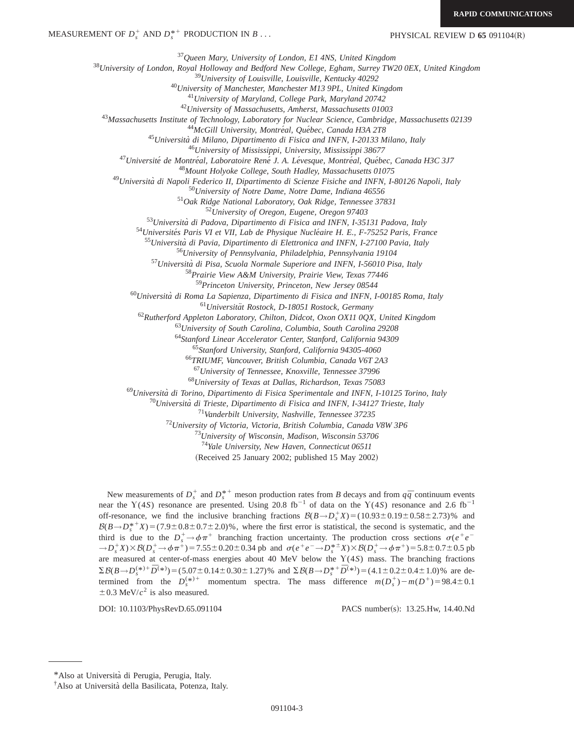PHYSICAL REVIEW D 65 091104(R)

*Queen Mary, University of London, E1 4NS, United Kingdom University of London, Royal Holloway and Bedford New College, Egham, Surrey TW20 0EX, United Kingdom University of Louisville, Louisville, Kentucky 40292 University of Manchester, Manchester M13 9PL, United Kingdom University of Maryland, College Park, Maryland 20742 University of Massachusetts, Amherst, Massachusetts 01003 Massachusetts Institute of Technology, Laboratory for Nuclear Science, Cambridge, Massachusetts 02139* <sup>44</sup>McGill University, Montréal, Québec, Canada H3A 2T8 *Universita` di Milano, Dipartimento di Fisica and INFN, I-20133 Milano, Italy University of Mississippi, University, Mississippi 38677 Universite´ de Montre´al, Laboratoire Rene´ J. A. Le´vesque, Montre´al, Que´bec, Canada H3C 3J7 Mount Holyoke College, South Hadley, Massachusetts 01075 Universita` di Napoli Federico II, Dipartimento di Scienze Fisiche and INFN, I-80126 Napoli, Italy University of Notre Dame, Notre Dame, Indiana 46556 Oak Ridge National Laboratory, Oak Ridge, Tennessee 37831 University of Oregon, Eugene, Oregon 97403 Universita` di Padova, Dipartimento di Fisica and INFN, I-35131 Padova, Italy* <sup>54</sup>Universités Paris VI et VII, Lab de Physique Nucléaire H. E., F-75252 Paris, France *Universita` di Pavia, Dipartimento di Elettronica and INFN, I-27100 Pavia, Italy University of Pennsylvania, Philadelphia, Pennsylvania 19104 Universita` di Pisa, Scuola Normale Superiore and INFN, I-56010 Pisa, Italy Prairie View A&M University, Prairie View, Texas 77446 Princeton University, Princeton, New Jersey 08544 Universita` di Roma La Sapienza, Dipartimento di Fisica and INFN, I-00185 Roma, Italy Universita¨t Rostock, D-18051 Rostock, Germany Rutherford Appleton Laboratory, Chilton, Didcot, Oxon OX11 0QX, United Kingdom University of South Carolina, Columbia, South Carolina 29208 Stanford Linear Accelerator Center, Stanford, California 94309 Stanford University, Stanford, California 94305-4060 TRIUMF, Vancouver, British Columbia, Canada V6T 2A3 University of Tennessee, Knoxville, Tennessee 37996 University of Texas at Dallas, Richardson, Texas 75083 Universita` di Torino, Dipartimento di Fisica Sperimentale and INFN, I-10125 Torino, Italy Universita` di Trieste, Dipartimento di Fisica and INFN, I-34127 Trieste, Italy Vanderbilt University, Nashville, Tennessee 37235 University of Victoria, Victoria, British Columbia, Canada V8W 3P6 University of Wisconsin, Madison, Wisconsin 53706 Yale University, New Haven, Connecticut 06511* (Received 25 January 2002; published 15 May 2002) New measurements of  $D_s^+$  and  $D_s^{*+}$  meson production rates from *B* decays and from  $q\bar{q}$  continuum events

near the Y(4*S*) resonance are presented. Using 20.8 fb<sup>-1</sup> of data on the Y(4*S*) resonance and 2.6 fb<sup>-1</sup> off-resonance, we find the inclusive branching fractions  $B(B \to D_s^+ X) = (10.93 \pm 0.19 \pm 0.58 \pm 2.73)\%$  and  $B(B \to D_s^{*+} X) = (7.9 \pm 0.8 \pm 0.7 \pm 2.0)\%$ , where the first error is statistical, the second is systematic, and the third is due to the  $D_s^+ \rightarrow \phi \pi^+$  branching fraction uncertainty. The production cross sections  $\sigma(e^+e^-)$  $\rightarrow D_s^+X$ ) $\times$   $\mathcal{B}(D_s^+ \rightarrow \phi \pi^+) = 7.55 \pm 0.20 \pm 0.34$  pb and  $\sigma(e^+e^- \rightarrow D_s^{*+}X)$  $\times$   $\mathcal{B}(D_s^+ \rightarrow \phi \pi^+) = 5.8 \pm 0.7 \pm 0.5$  pb are measured at center-of-mass energies about 40 MeV below the Y(4*S*) mass. The branching fractions  $\Sigma B(B \to D_s^{(*)+} \bar{D}^{(*)}) = (5.07 \pm 0.14 \pm 0.30 \pm 1.27)\%$  and  $\Sigma B(B \to D_s^{*+} \bar{D}^{(*)}) = (4.1 \pm 0.2 \pm 0.4 \pm 1.0)\%$  are determined from the  $D_s^{(*)+}$  momentum spectra. The mass difference  $m(D_s^+) - m(D^+) = 98.4 \pm 0.1$  $\pm$  0.3 MeV/ $c^2$  is also measured.

DOI: 10.1103/PhysRevD.65.091104 PACS number(s): 13.25.Hw, 14.40.Nd

<sup>\*</sup>Also at Universita` di Perugia, Perugia, Italy.

<sup>&</sup>lt;sup>†</sup>Also at Università della Basilicata, Potenza, Italy.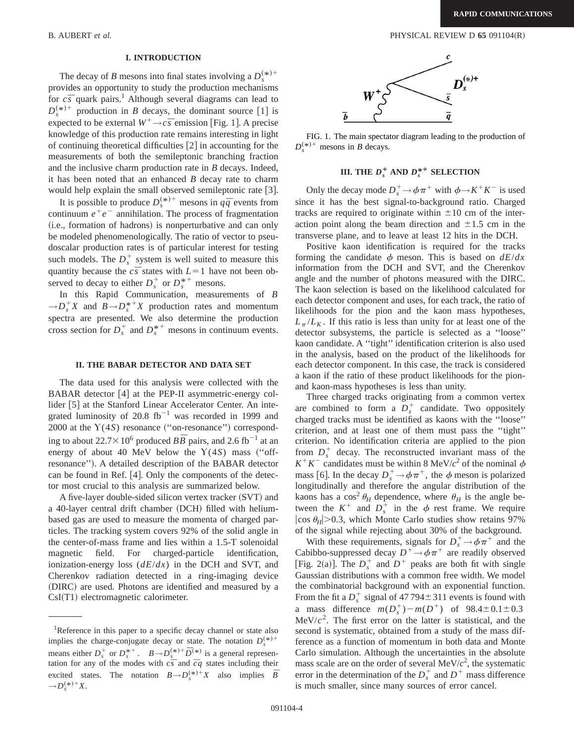### B. AUBERT *et al.* PHYSICAL REVIEW D **65** 091104(R)

### **I. INTRODUCTION**

The decay of *B* mesons into final states involving a  $D_s^{(*)+}$ provides an opportunity to study the production mechanisms for  $c\bar{s}$  quark pairs.<sup>1</sup> Although several diagrams can lead to  $D_s^{(*)+}$  production in *B* decays, the dominant source [1] is expected to be external  $W^+ \rightarrow c\bar{s}$  emission [Fig. 1]. A precise knowledge of this production rate remains interesting in light of continuing theoretical difficulties  $\lceil 2 \rceil$  in accounting for the measurements of both the semileptonic branching fraction and the inclusive charm production rate in *B* decays. Indeed, it has been noted that an enhanced *B* decay rate to charm would help explain the small observed semileptonic rate  $[3]$ .

It is possible to produce  $D_s^{(*)+}$  mesons in  $q\bar{q}$  events from continuum  $e^+e^-$  annihilation. The process of fragmentation (i.e., formation of hadrons) is nonperturbative and can only be modeled phenomenologically. The ratio of vector to pseudoscalar production rates is of particular interest for testing such models. The  $D_s^+$  system is well suited to measure this quantity because the  $c\bar{s}$  states with  $L=1$  have not been observed to decay to either  $D_s^+$  or  $D_s^{*+}$  mesons.

In this Rapid Communication, measurements of *B*  $\rightarrow D_s^+ X$  and  $B \rightarrow D_s^{*+} X$  production rates and momentum spectra are presented. We also determine the production cross section for  $D_s^+$  and  $D_s^{*+}$  mesons in continuum events.

#### **II. THE BABAR DETECTOR AND DATA SET**

The data used for this analysis were collected with the BABAR detector  $[4]$  at the PEP-II asymmetric-energy collider  $[5]$  at the Stanford Linear Accelerator Center. An integrated luminosity of 20.8  $fb^{-1}$  was recorded in 1999 and 2000 at the  $Y(4S)$  resonance ("on-resonance") corresponding to about  $22.7\times10^6$  produced  $B\overline{B}$  pairs, and 2.6 fb<sup>-1</sup> at an energy of about 40 MeV below the  $Y(4S)$  mass ("offresonance"). A detailed description of the BABAR detector can be found in Ref.  $[4]$ . Only the components of the detector most crucial to this analysis are summarized below.

A five-layer double-sided silicon vertex tracker (SVT) and a 40-layer central drift chamber (DCH) filled with heliumbased gas are used to measure the momenta of charged particles. The tracking system covers 92% of the solid angle in the center-of-mass frame and lies within a 1.5-T solenoidal magnetic field. For charged-particle identification, ionization-energy loss (*dE*/*dx*) in the DCH and SVT, and Cherenkov radiation detected in a ring-imaging device (DIRC) are used. Photons are identified and measured by a  $CsI(T1)$  electromagnetic calorimeter.



FIG. 1. The main spectator diagram leading to the production of  $D_s^{(*)+}$  mesons in *B* decays.

# **III.** THE  $D_s^+$  AND  $D_s^{*+}$  SELECTION

Only the decay mode  $D_s^+ \rightarrow \phi \pi^+$  with  $\phi \rightarrow K^+ K^-$  is used since it has the best signal-to-background ratio. Charged tracks are required to originate within  $\pm 10$  cm of the interaction point along the beam direction and  $\pm 1.5$  cm in the transverse plane, and to leave at least 12 hits in the DCH.

Positive kaon identification is required for the tracks forming the candidate  $\phi$  meson. This is based on  $dE/dx$ information from the DCH and SVT, and the Cherenkov angle and the number of photons measured with the DIRC. The kaon selection is based on the likelihood calculated for each detector component and uses, for each track, the ratio of likelihoods for the pion and the kaon mass hypotheses,  $L_{\pi}/L_K$ . If this ratio is less than unity for at least one of the detector subsystems, the particle is selected as a ''loose'' kaon candidate. A ''tight'' identification criterion is also used in the analysis, based on the product of the likelihoods for each detector component. In this case, the track is considered a kaon if the ratio of these product likelihoods for the pionand kaon-mass hypotheses is less than unity.

Three charged tracks originating from a common vertex are combined to form a  $D_s^+$  candidate. Two oppositely charged tracks must be identified as kaons with the ''loose'' criterion, and at least one of them must pass the ''tight'' criterion. No identification criteria are applied to the pion from  $D_s^+$  decay. The reconstructed invariant mass of the  $K^+K^-$  candidates must be within 8 MeV/ $c^2$  of the nominal  $\phi$ mass [6]. In the decay  $D_s^+ \rightarrow \phi \pi^+$ , the  $\phi$  meson is polarized longitudinally and therefore the angular distribution of the kaons has a cos<sup>2</sup>  $\theta_H$  dependence, where  $\theta_H$  is the angle between the  $K^+$  and  $D_s^+$  in the  $\phi$  rest frame. We require  $|\cos \theta_H|$ >0.3, which Monte Carlo studies show retains 97% of the signal while rejecting about 30% of the background.

With these requirements, signals for  $D_s^+ \rightarrow \phi \pi^+$  and the Cabibbo-suppressed decay  $D^+\rightarrow \phi \pi^+$  are readily observed [Fig. 2(a)]. The  $D_s^+$  and  $D^+$  peaks are both fit with single Gaussian distributions with a common free width. We model the combinatorial background with an exponential function. From the fit a  $D_s^+$  signal of  $47794 \pm 311$  events is found with a mass difference  $m(D_s^+)-m(D^+)$  of  $98.4 \pm 0.1 \pm 0.3$  $\text{MeV}/c^2$ . The first error on the latter is statistical, and the second is systematic, obtained from a study of the mass difference as a function of momentum in both data and Monte Carlo simulation. Although the uncertainties in the absolute mass scale are on the order of several  $\text{MeV}/c^2$ , the systematic error in the determination of the  $D_s^+$  and  $D^+$  mass difference is much smaller, since many sources of error cancel.

<sup>&</sup>lt;sup>1</sup>Reference in this paper to a specific decay channel or state also implies the charge-conjugate decay or state. The notation  $D_s^{(*)+}$ means either  $D_s^+$  or  $D_s^{*+}$ .  $B \rightarrow D_s^{(*)+} \bar{D}^{(*)}$  is a general representation for any of the modes with  $c\bar{s}$  and  $\bar{c}q$  states including their excited states. The notation  $B \rightarrow D_s^{(*)+} X$  also implies  $\overline{B}$  $\rightarrow D_s^{(*)+}X$ .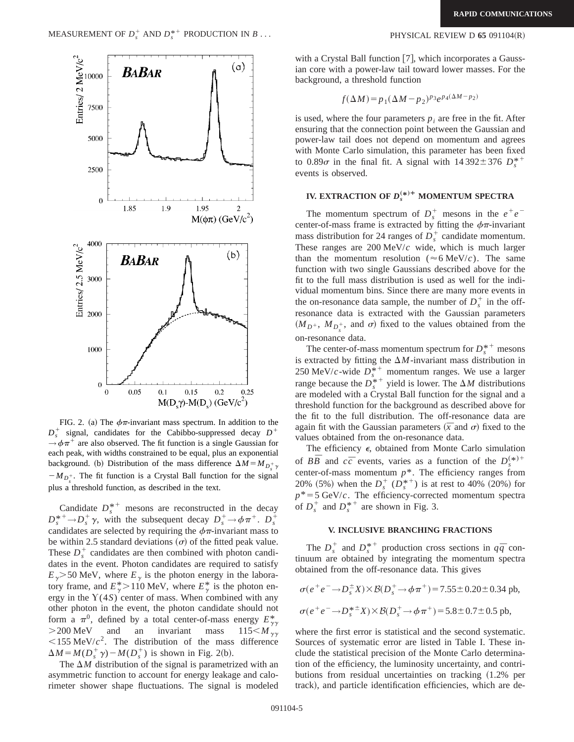

FIG. 2. (a) The  $\phi \pi$ -invariant mass spectrum. In addition to the  $D_s^+$  signal, candidates for the Cabibbo-suppressed decay  $D^+$  $\rightarrow \phi \pi^+$  are also observed. The fit function is a single Gaussian for each peak, with widths constrained to be equal, plus an exponential background. (b) Distribution of the mass difference  $\Delta M = M_{D_s^+}\gamma$  $-M_{D_s^+}$ . The fit function is a Crystal Ball function for the signal plus a threshold function, as described in the text.

Candidate  $D_s^{*+}$  mesons are reconstructed in the decay  $D_s^* \to D_s^+ \gamma$ , with the subsequent decay  $D_s^+ \to \phi \pi^+$ .  $D_s^+$ candidates are selected by requiring the  $\phi \pi$ -invariant mass to be within 2.5 standard deviations  $\sigma$  of the fitted peak value. These  $D_s^+$  candidates are then combined with photon candidates in the event. Photon candidates are required to satisfy  $E_{\gamma}$  > 50 MeV, where  $E_{\gamma}$  is the photon energy in the laboratory frame, and  $E^*_{\gamma} > 110 \text{ MeV}$ , where  $E^*_{\gamma}$  is the photon energy in the  $Y(4S)$  center of mass. When combined with any other photon in the event, the photon candidate should not form a  $\pi^0$ , defined by a total center-of-mass energy  $E_{\gamma\gamma}^*$  $>$ 200 MeV and an invariant mass  $115 < M_{\gamma\gamma}$  $\leq$ 155 MeV/ $c^2$ . The distribution of the mass difference  $\Delta M = M(D_s^{\dagger} \gamma) - M(D_s^{\dagger})$  is shown in Fig. 2(b).

The  $\Delta M$  distribution of the signal is parametrized with an asymmetric function to account for energy leakage and calorimeter shower shape fluctuations. The signal is modeled

### PHYSICAL REVIEW D 65 091104(R)

with a Crystal Ball function  $|7|$ , which incorporates a Gaussian core with a power-law tail toward lower masses. For the background, a threshold function

$$
f(\Delta M) = p_1(\Delta M - p_2)^{p_3} e^{p_4(\Delta M - p_2)}
$$

is used, where the four parameters  $p_i$  are free in the fit. After ensuring that the connection point between the Gaussian and power-law tail does not depend on momentum and agrees with Monte Carlo simulation, this parameter has been fixed to  $0.89\sigma$  in the final fit. A signal with  $14\,392\pm376$   $D_s^{*+}$ events is observed.

# **IV. EXTRACTION OF**  $D_s^{(*)+}$  **MOMENTUM SPECTRA**

The momentum spectrum of  $D_s^+$  mesons in the  $e^+e^$ center-of-mass frame is extracted by fitting the  $\phi \pi$ -invariant mass distribution for 24 ranges of  $D_s^+$  candidate momentum. These ranges are 200 MeV/*c* wide, which is much larger than the momentum resolution ( $\approx$  6 MeV/*c*). The same function with two single Gaussians described above for the fit to the full mass distribution is used as well for the individual momentum bins. Since there are many more events in the on-resonance data sample, the number of  $D_s^+$  in the offresonance data is extracted with the Gaussian parameters  $(M_{D^+}, M_{D_s^+}, \text{ and } \sigma)$  fixed to the values obtained from the on-resonance data.

The center-of-mass momentum spectrum for  $D_s^{*+}$  mesons is extracted by fitting the  $\Delta M$ -invariant mass distribution in 250 MeV/*c*-wide  $D_s^{*+}$  momentum ranges. We use a larger range because the  $D_s^{*+}$  yield is lower. The  $\Delta M$  distributions are modeled with a Crystal Ball function for the signal and a threshold function for the background as described above for the fit to the full distribution. The off-resonance data are again fit with the Gaussian parameters  $(\bar{x}$  and  $\sigma)$  fixed to the values obtained from the on-resonance data.

The efficiency  $\epsilon$ , obtained from Monte Carlo simulation of  $B\overline{B}$  and  $c\overline{c}$  events, varies as a function of the  $D_s^{(*)+}$ center-of-mass momentum  $p^*$ . The efficiency ranges from 20% (5%) when the  $D_s^+$  ( $D_s^{*+}$ ) is at rest to 40% (20%) for  $p^* = 5$  GeV/*c*. The efficiency-corrected momentum spectra of  $D_s^+$  and  $D_s^{*+}$  are shown in Fig. 3.

### **V. INCLUSIVE BRANCHING FRACTIONS**

The  $D_s^+$  and  $D_s^{*+}$  production cross sections in  $q\bar{q}$  continuum are obtained by integrating the momentum spectra obtained from the off-resonance data. This gives

$$
\sigma(e^+e^- \to D_s^{\pm}X) \times \mathcal{B}(D_s^+ \to \phi \pi^+) = 7.55 \pm 0.20 \pm 0.34 \text{ pb},
$$
  

$$
\sigma(e^+e^- \to D_s^{*\pm}X) \times \mathcal{B}(D_s^+ \to \phi \pi^+) = 5.8 \pm 0.7 \pm 0.5 \text{ pb},
$$

where the first error is statistical and the second systematic. Sources of systematic error are listed in Table I. These include the statistical precision of the Monte Carlo determination of the efficiency, the luminosity uncertainty, and contributions from residual uncertainties on tracking  $(1.2%$  per track), and particle identification efficiencies, which are de-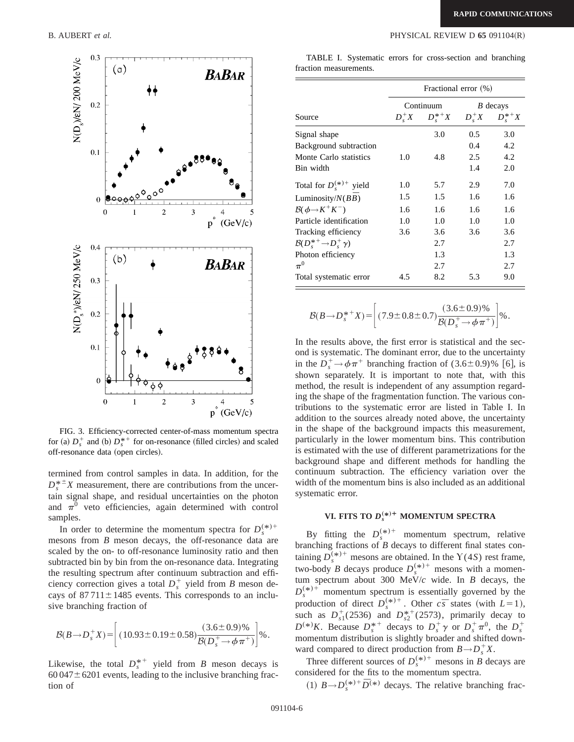

FIG. 3. Efficiency-corrected center-of-mass momentum spectra for (a)  $D_s^+$  and (b)  $D_s^{*+}$  for on-resonance (filled circles) and scaled off-resonance data (open circles).

termined from control samples in data. In addition, for the  $D_s^*$ <sup> $\pm$ </sup>*X* measurement, there are contributions from the uncertain signal shape, and residual uncertainties on the photon and  $\pi^0$  veto efficiencies, again determined with control samples.

In order to determine the momentum spectra for  $D_s^{(*)+}$ mesons from *B* meson decays, the off-resonance data are scaled by the on- to off-resonance luminosity ratio and then subtracted bin by bin from the on-resonance data. Integrating the resulting spectrum after continuum subtraction and efficiency correction gives a total  $D_s^+$  yield from *B* meson decays of  $87711 \pm 1485$  events. This corresponds to an inclusive branching fraction of

$$
\mathcal{B}(B \to D_s^+ X) = \left[ (10.93 \pm 0.19 \pm 0.58) \frac{(3.6 \pm 0.9)\%}{\mathcal{B}(D_s^+ \to \phi \pi^+)} \right] \%
$$

Likewise, the total  $D_s^{*+}$  yield from *B* meson decays is  $60\,047 \pm 6201$  events, leading to the inclusive branching fraction of

TABLE I. Systematic errors for cross-section and branching fraction measurements.

| Source                                  | Fractional error (%) |                                |            |                                |
|-----------------------------------------|----------------------|--------------------------------|------------|--------------------------------|
|                                         | $D^+_{s}X$           | Continuum<br>$D^{\ast +}_{s}X$ | $D^+_{s}X$ | $B$ decays<br>$D^{\ast +}_s X$ |
| Signal shape<br>Background subtraction  |                      | 3.0                            | 0.5<br>0.4 | 3.0<br>4.2                     |
| Monte Carlo statistics                  | 1.0                  | 4.8                            | 2.5        | 4.2                            |
| Bin width                               |                      |                                | 1.4        | 2.0                            |
| Total for $D_{s}^{(*)+}$ yield          | 1.0                  | 5.7                            | 2.9        | 7.0                            |
| Luminosity/ $N(B\overline{B})$          | 1.5                  | 1.5                            | 1.6        | 1.6                            |
| $\mathcal{B}(\phi \rightarrow K^+ K^-)$ | 1.6                  | 1.6                            | $1.6\,$    | 1.6                            |
| Particle identification                 | 1.0                  | 1.0                            | 1.0        | 1.0                            |
| Tracking efficiency                     | 3.6                  | 3.6                            | 3.6        | 3.6                            |
| $B(D_s^{*+}\rightarrow D_s^+\gamma)$    |                      | 2.7                            |            | 2.7                            |
| Photon efficiency                       |                      | 1.3                            |            | 1.3                            |
| $\pi^0$                                 |                      | 2.7                            |            | 2.7                            |
| Total systematic error                  | 4.5                  | 8.2                            | 5.3        | 9.0                            |

$$
\mathcal{B}(B \to D_s^{*+} X) = \left[ (7.9 \pm 0.8 \pm 0.7) \frac{(3.6 \pm 0.9)\%}{\mathcal{B}(D_s^+ \to \phi \pi^+)} \right] \%
$$

In the results above, the first error is statistical and the second is systematic. The dominant error, due to the uncertainty in the  $D_s^+ \rightarrow \phi \pi^+$  branching fraction of  $(3.6 \pm 0.9)$ % [6], is shown separately. It is important to note that, with this method, the result is independent of any assumption regarding the shape of the fragmentation function. The various contributions to the systematic error are listed in Table I. In addition to the sources already noted above, the uncertainty in the shape of the background impacts this measurement, particularly in the lower momentum bins. This contribution is estimated with the use of different parametrizations for the background shape and different methods for handling the continuum subtraction. The efficiency variation over the width of the momentum bins is also included as an additional systematic error.

# **VI. FITS TO**  $D_s^{(*)+}$  **MOMENTUM SPECTRA**

By fitting the  $D_s^{(*)+}$  momentum spectrum, relative branching fractions of *B* decays to different final states containing  $D_s^{(*)+}$  mesons are obtained. In the  $\Upsilon(4S)$  rest frame, two-body *B* decays produce  $D_s^{(*)+}$  mesons with a momentum spectrum about 300 MeV/*c* wide. In *B* decays, the  $D_s^{(*)+}$  momentum spectrum is essentially governed by the production of direct  $D_s^{(*)+}$ . Other  $c\bar{s}$  states (with  $L=1$ ), such as  $D_{s1}^+(2536)$  and  $D_{s2}^{*+}(2573)$ , primarily decay to  $D^{(*)}K$ . Because  $D_s^{*+}$  decays to  $D_s^+\gamma$  or  $D_s^+\pi^0$ , the  $D_s^+$ momentum distribution is slightly broader and shifted downward compared to direct production from  $B \rightarrow D_s^+ X$ .

Three different sources of  $D_s^{(*)+}$  mesons in *B* decays are considered for the fits to the momentum spectra.

 $(1)$   $B \rightarrow D_s^{(*)+} \bar{D}^{(*)}$  decays. The relative branching frac-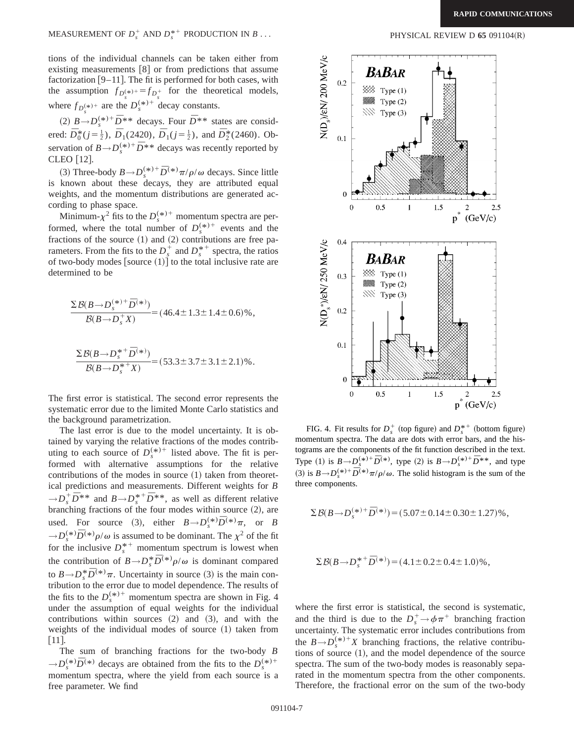MEASUREMENT OF  $D_s^+$  AND  $D_s^*$ 

tions of the individual channels can be taken either from existing measurements  $[8]$  or from predictions that assume factorization  $[9-11]$ . The fit is performed for both cases, with the assumption  $f_{D_s^{(*)+}} = f_{D_s^+}$  for the theoretical models, where  $f_{D_s^{(\ast)}}$  are the  $D_s^{(\ast)+}$  decay constants.

(2)  $B \rightarrow D_s^{(*)+} \bar{D}^{**}$  decays. Four  $\bar{D}^{**}$  states are considered:  $\overline{D}_0^*(j=\frac{1}{2})$ ,  $\overline{D}_1(2420)$ ,  $\overline{D}_1(j=\frac{1}{2})$ , and  $\overline{D}_2^*(2460)$ . Observation of  $B \rightarrow D_s^{(*)+} \bar{D}^{**}$  decays was recently reported by CLEO [12].

(3) Three-body  $B \rightarrow D_s^{(*)+} \bar{D}^{(*)} \pi / \rho / \omega$  decays. Since little is known about these decays, they are attributed equal weights, and the momentum distributions are generated according to phase space.

Minimum- $\chi^2$  fits to the  $D_s^{(*)+}$  momentum spectra are performed, where the total number of  $D_s^{(*)+}$  events and the fractions of the source  $(1)$  and  $(2)$  contributions are free parameters. From the fits to the  $D_s^+$  and  $D_s^{*+}$  spectra, the ratios of two-body modes  $\left[\text{source } (1)\right]$  to the total inclusive rate are determined to be

$$
\frac{\Sigma \mathcal{B}(B \to D_s^{(*)+} \bar{D}^{(*)})}{\mathcal{B}(B \to D_s^+ X)} = (46.4 \pm 1.3 \pm 1.4 \pm 0.6)\%
$$

$$
\frac{\Sigma \mathcal{B}(B \to D_s^{*+} \bar{D}^{(*)})}{\mathcal{B}(B \to D_s^{*+} X)} = (53.3 \pm 3.7 \pm 3.1 \pm 2.1)\%
$$

The first error is statistical. The second error represents the systematic error due to the limited Monte Carlo statistics and the background parametrization.

The last error is due to the model uncertainty. It is obtained by varying the relative fractions of the modes contributing to each source of  $D_s^{(*)+}$  listed above. The fit is performed with alternative assumptions for the relative contributions of the modes in source  $(1)$  taken from theoretical predictions and measurements. Different weights for *B*  $\rightarrow D_s^+ \overline{D}^{**}$  and  $B \rightarrow D_s^{*+} \overline{D}^{**}$ , as well as different relative branching fractions of the four modes within source  $(2)$ , are used. For source (3), either  $B \rightarrow D_s^{(*)} \bar{D}^{(*)} \pi$ , or *B*  $\rightarrow D_s^{(*)}\bar{D}^{(*)}\rho/\omega$  is assumed to be dominant. The  $\chi^2$  of the fit for the inclusive  $D_s^{*+}$  momentum spectrum is lowest when the contribution of  $B \rightarrow D_s^* \overline{D}^{(*)} \rho/\omega$  is dominant compared to  $B \rightarrow D_s^* \bar{D}^{(*)}\pi$ . Uncertainty in source (3) is the main contribution to the error due to model dependence. The results of the fits to the  $D_s^{(*)+}$  momentum spectra are shown in Fig. 4 under the assumption of equal weights for the individual contributions within sources  $(2)$  and  $(3)$ , and with the weights of the individual modes of source  $(1)$  taken from  $|11|$ .

The sum of branching fractions for the two-body *B*  $\rightarrow$ *D*<sup>(\*)</sup> $\overline{D}$ <sup>(\*)</sup> decays are obtained from the fits to the *D*<sup>(\*)+</sup> momentum spectra, where the yield from each source is a free parameter. We find



FIG. 4. Fit results for  $D_s^+$  (top figure) and  $D_s^{*+}$  (bottom figure) momentum spectra. The data are dots with error bars, and the histograms are the components of the fit function described in the text. Type (1) is  $B \to D_s^{(*)+} \bar{D}^{(*)}$ , type (2) is  $B \to D_s^{(*)+} \bar{D}^{**}$ , and type (3) is  $B \to D_s^{(*)+} \bar{D}^{(*)} \pi/\rho/\omega$ . The solid histogram is the sum of the three components.

$$
\Sigma \mathcal{B}(B \to D_s^{(*)+} \bar{D}^{(*)}) = (5.07 \pm 0.14 \pm 0.30 \pm 1.27)\%
$$

$$
\Sigma \mathcal{B}(B \to D_s^{*+} \bar{D}^{(*)}) = (4.1 \pm 0.2 \pm 0.4 \pm 1.0)\%
$$

where the first error is statistical, the second is systematic, and the third is due to the  $D_s^+ \rightarrow \phi \pi^+$  branching fraction uncertainty. The systematic error includes contributions from the  $B \rightarrow D_s^{(*)+} X$  branching fractions, the relative contributions of source  $(1)$ , and the model dependence of the source spectra. The sum of the two-body modes is reasonably separated in the momentum spectra from the other components. Therefore, the fractional error on the sum of the two-body